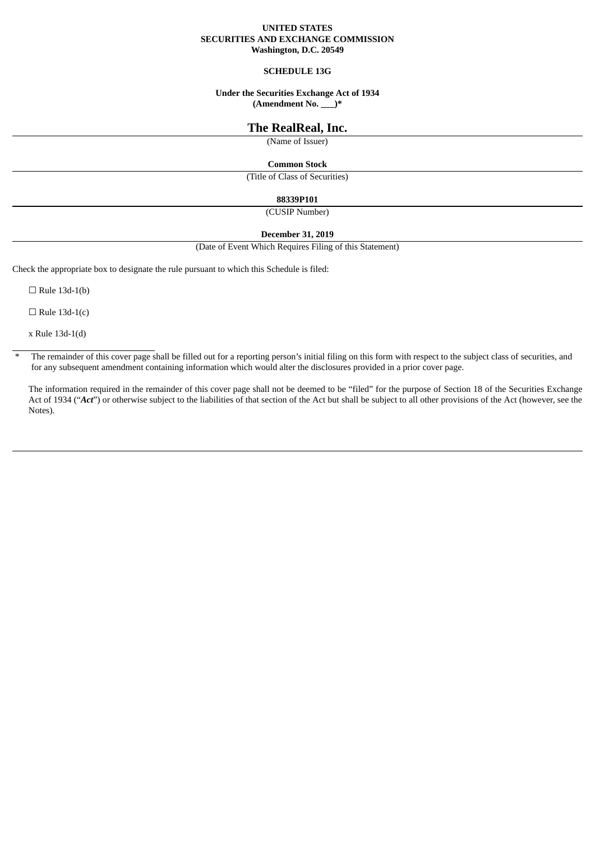### **UNITED STATES SECURITIES AND EXCHANGE COMMISSION Washington, D.C. 20549**

## **SCHEDULE 13G**

# **Under the Securities Exchange Act of 1934**

**(Amendment No. \_\_\_)\***

# **The RealReal, Inc.**

(Name of Issuer)

#### **Common Stock**

(Title of Class of Securities)

#### **88339P101**

(CUSIP Number)

## **December 31, 2019**

(Date of Event Which Requires Filing of this Statement)

Check the appropriate box to designate the rule pursuant to which this Schedule is filed:

 $\Box$  Rule 13d-1(b)

 $\Box$  Rule 13d-1(c)

x Rule 13d-1(d)

 $*$  The remainder of this cover page shall be filled out for a reporting person's initial filing on this form with respect to the subject class of securities, and for any subsequent amendment containing information which would alter the disclosures provided in a prior cover page.

The information required in the remainder of this cover page shall not be deemed to be "filed" for the purpose of Section 18 of the Securities Exchange Act of 1934 ("Act") or otherwise subject to the liabilities of that section of the Act but shall be subject to all other provisions of the Act (however, see the Notes).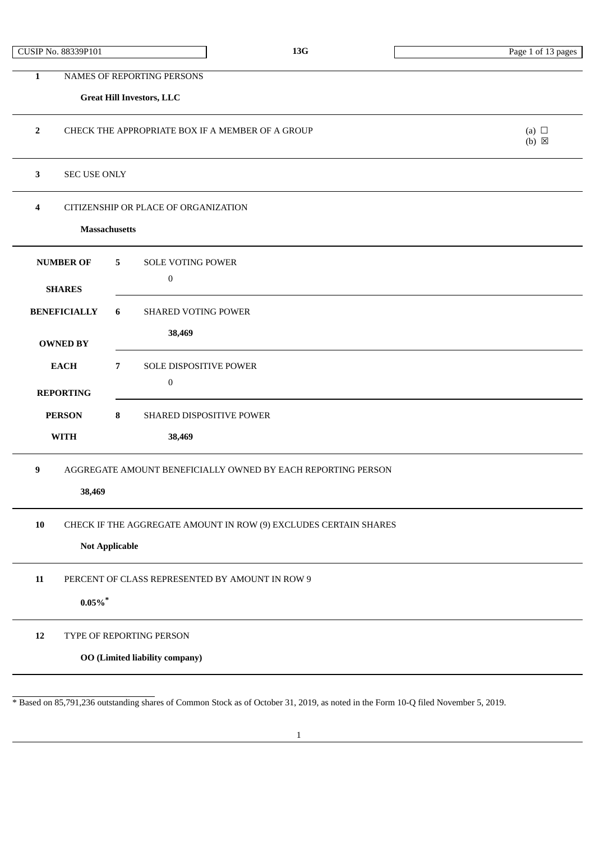## **Great Hill Investors, LLC**

| CHECK THE APPROPRIATE BOX IF A MEMBER OF A GROUP | (a)<br>$(b)$ $\boxtimes$ |
|--------------------------------------------------|--------------------------|
|                                                  |                          |

# **3** SEC USE ONLY

**4** CITIZENSHIP OR PLACE OF ORGANIZATION

## **Massachusetts**

| <b>NUMBER OF</b>                                                  | $5^{\circ}$<br><b>SOLE VOTING POWER</b>                          |  |  |
|-------------------------------------------------------------------|------------------------------------------------------------------|--|--|
| <b>SHARES</b>                                                     | $\bf{0}$                                                         |  |  |
| <b>BENEFICIALLY</b>                                               | <b>SHARED VOTING POWER</b><br>6                                  |  |  |
| <b>OWNED BY</b>                                                   | 38,469                                                           |  |  |
| <b>EACH</b>                                                       | $\overline{7}$<br><b>SOLE DISPOSITIVE POWER</b>                  |  |  |
| <b>REPORTING</b>                                                  | $\mathbf{0}$                                                     |  |  |
| <b>PERSON</b>                                                     | 8<br><b>SHARED DISPOSITIVE POWER</b>                             |  |  |
| <b>WITH</b>                                                       | 38,469                                                           |  |  |
| AGGREGATE AMOUNT BENEFICIALLY OWNED BY EACH REPORTING PERSON<br>9 |                                                                  |  |  |
| 38,469                                                            |                                                                  |  |  |
| 10                                                                | CHECK IF THE AGGREGATE AMOUNT IN ROW (9) EXCLUDES CERTAIN SHARES |  |  |
|                                                                   | <b>Not Applicable</b>                                            |  |  |

**11** PERCENT OF CLASS REPRESENTED BY AMOUNT IN ROW 9

## **0.05%\***

**12** TYPE OF REPORTING PERSON

**OO (Limited liability company)**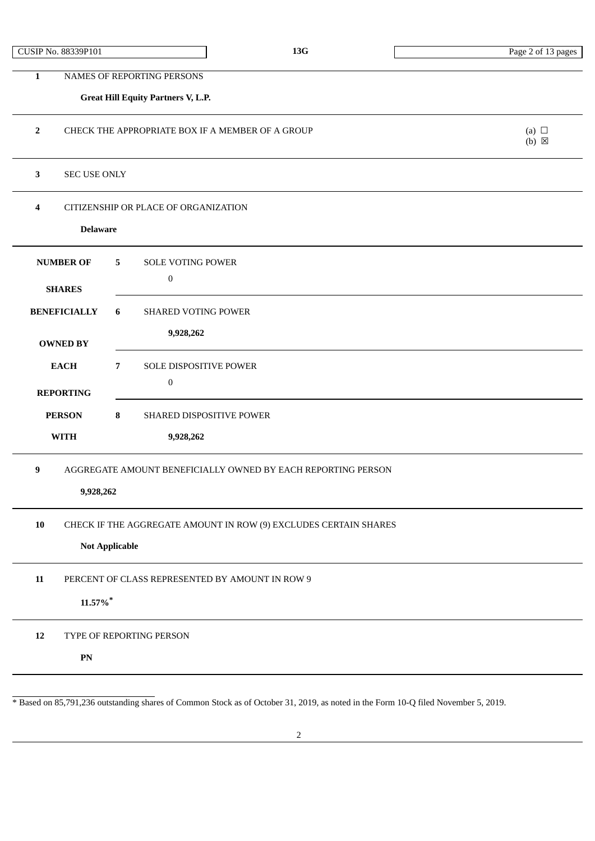|  |  | CUSIP No. 88339P101 |
|--|--|---------------------|
|--|--|---------------------|

 $(b) \boxtimes$ 

**1** NAMES OF REPORTING PERSONS **Great Hill Equity Partners V, L.P. 2** CHECK THE APPROPRIATE BOX IF A MEMBER OF A GROUP (a) □

**3** SEC USE ONLY

**4** CITIZENSHIP OR PLACE OF ORGANIZATION

## **Delaware**

| <b>NUMBER OF</b>                                      | 5                                                                | <b>SOLE VOTING POWER</b>                                     |  |
|-------------------------------------------------------|------------------------------------------------------------------|--------------------------------------------------------------|--|
|                                                       |                                                                  | $\boldsymbol{0}$                                             |  |
| <b>SHARES</b>                                         |                                                                  |                                                              |  |
| <b>BENEFICIALLY</b>                                   | 6                                                                | <b>SHARED VOTING POWER</b>                                   |  |
|                                                       |                                                                  |                                                              |  |
| <b>OWNED BY</b>                                       |                                                                  | 9,928,262                                                    |  |
|                                                       |                                                                  |                                                              |  |
| <b>EACH</b>                                           | $\overline{7}$                                                   | <b>SOLE DISPOSITIVE POWER</b>                                |  |
| <b>REPORTING</b>                                      |                                                                  | $\boldsymbol{0}$                                             |  |
|                                                       |                                                                  |                                                              |  |
| <b>PERSON</b>                                         | 8                                                                | SHARED DISPOSITIVE POWER                                     |  |
| <b>WITH</b>                                           |                                                                  | 9,928,262                                                    |  |
|                                                       |                                                                  |                                                              |  |
| 9                                                     |                                                                  | AGGREGATE AMOUNT BENEFICIALLY OWNED BY EACH REPORTING PERSON |  |
|                                                       |                                                                  |                                                              |  |
| 9,928,262                                             |                                                                  |                                                              |  |
|                                                       |                                                                  |                                                              |  |
| 10                                                    | CHECK IF THE AGGREGATE AMOUNT IN ROW (9) EXCLUDES CERTAIN SHARES |                                                              |  |
| <b>Not Applicable</b>                                 |                                                                  |                                                              |  |
|                                                       |                                                                  |                                                              |  |
| 11<br>PERCENT OF CLASS REPRESENTED BY AMOUNT IN ROW 9 |                                                                  |                                                              |  |
|                                                       |                                                                  |                                                              |  |
| 11.57%*                                               |                                                                  |                                                              |  |
|                                                       |                                                                  |                                                              |  |
| 12                                                    | TYPE OF REPORTING PERSON                                         |                                                              |  |
|                                                       |                                                                  |                                                              |  |

**PN**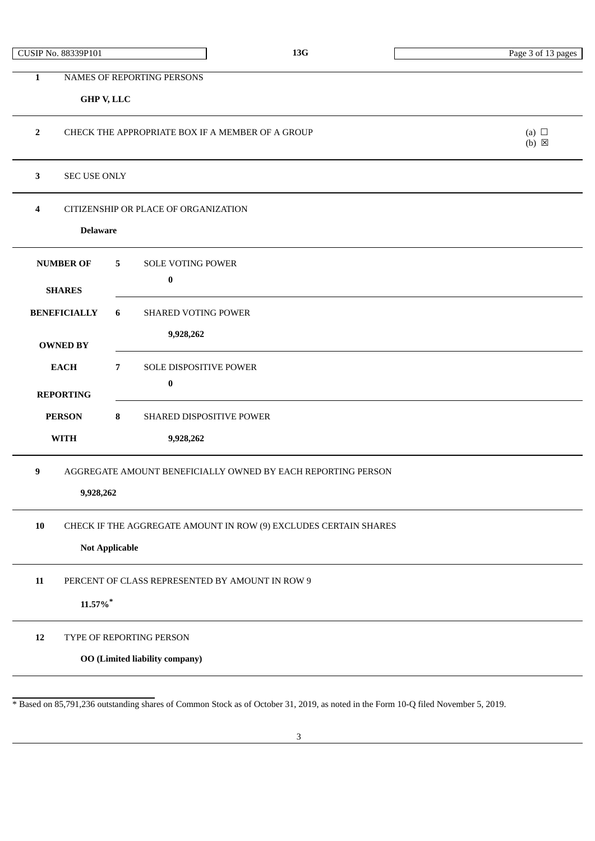CUSIP No. 88339P101 **13G** Page 3 of 13 pages

**1** NAMES OF REPORTING PERSONS

## **GHP V, LLC**

| $\overline{2}$<br>CHECK THE APPROPRIATE BOX IF A MEMBER OF A GROUP<br>(a) $\Box$<br>$(b)$ $\boxtimes$ |                                                        |  |  |  |  |
|-------------------------------------------------------------------------------------------------------|--------------------------------------------------------|--|--|--|--|
| 3                                                                                                     | <b>SEC USE ONLY</b>                                    |  |  |  |  |
| 4<br><b>Delaware</b>                                                                                  | CITIZENSHIP OR PLACE OF ORGANIZATION                   |  |  |  |  |
| <b>NUMBER OF</b><br><b>SHARES</b>                                                                     | 5<br><b>SOLE VOTING POWER</b><br>$\pmb{0}$             |  |  |  |  |
| <b>BENEFICIALLY</b><br><b>OWNED BY</b>                                                                | <b>SHARED VOTING POWER</b><br>6<br>9,928,262           |  |  |  |  |
| <b>EACH</b><br><b>REPORTING</b>                                                                       | $7\overline{ }$<br>SOLE DISPOSITIVE POWER<br>$\pmb{0}$ |  |  |  |  |
| <b>PERSON</b><br><b>WITH</b>                                                                          | 8<br>SHARED DISPOSITIVE POWER<br>9,928,262             |  |  |  |  |
| 9<br>AGGREGATE AMOUNT BENEFICIALLY OWNED BY EACH REPORTING PERSON<br>9,928,262                        |                                                        |  |  |  |  |
| 10<br>CHECK IF THE AGGREGATE AMOUNT IN ROW (9) EXCLUDES CERTAIN SHARES<br><b>Not Applicable</b>       |                                                        |  |  |  |  |
| ${\bf 11}$<br>PERCENT OF CLASS REPRESENTED BY AMOUNT IN ROW 9<br>$11.57\%$ <sup>*</sup>               |                                                        |  |  |  |  |
| $12\,$<br>TYPE OF REPORTING PERSON<br><b>OO</b> (Limited liability company)                           |                                                        |  |  |  |  |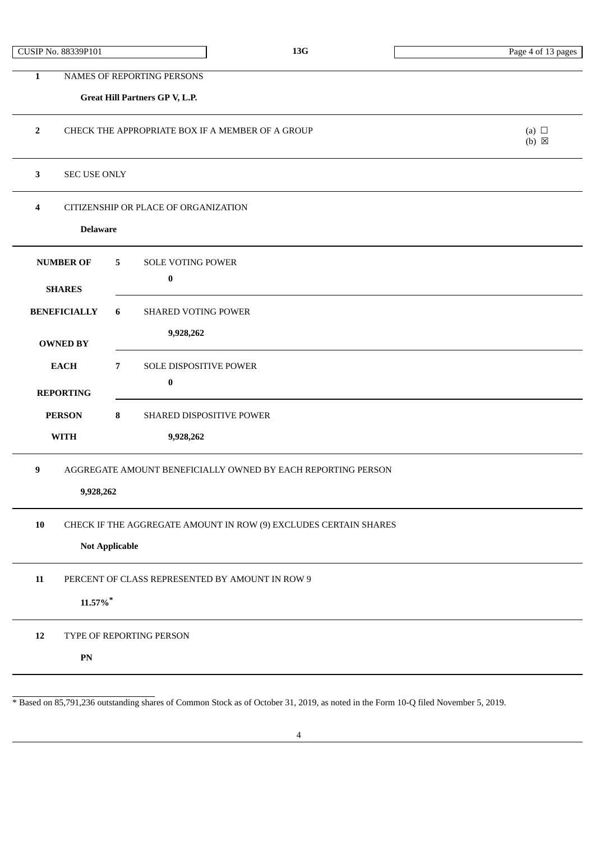|  | CUSIP No. 88339P101 |  |
|--|---------------------|--|
|--|---------------------|--|

## **Great Hill Partners GP V, L.P.**

| CHECK THE APPROPRIATE BOX IF A MEMBER OF A GROUP |   |
|--------------------------------------------------|---|
|                                                  | ⊠ |

## **3** SEC USE ONLY

**4** CITIZENSHIP OR PLACE OF ORGANIZATION

## **Delaware**

| <b>NUMBER OF</b>                                      | 5<br><b>SOLE VOTING POWER</b>                                    |  |  |
|-------------------------------------------------------|------------------------------------------------------------------|--|--|
| <b>SHARES</b>                                         | $\bf{0}$                                                         |  |  |
| <b>BENEFICIALLY</b>                                   | 6<br><b>SHARED VOTING POWER</b>                                  |  |  |
| <b>OWNED BY</b>                                       | 9,928,262                                                        |  |  |
| <b>EACH</b>                                           | $\overline{7}$<br>SOLE DISPOSITIVE POWER                         |  |  |
| <b>REPORTING</b>                                      | $\bf{0}$                                                         |  |  |
| <b>PERSON</b>                                         | 8<br>SHARED DISPOSITIVE POWER                                    |  |  |
| <b>WITH</b><br>9,928,262                              |                                                                  |  |  |
| 9                                                     | AGGREGATE AMOUNT BENEFICIALLY OWNED BY EACH REPORTING PERSON     |  |  |
| 9,928,262                                             |                                                                  |  |  |
| 10                                                    | CHECK IF THE AGGREGATE AMOUNT IN ROW (9) EXCLUDES CERTAIN SHARES |  |  |
| <b>Not Applicable</b>                                 |                                                                  |  |  |
| 11<br>PERCENT OF CLASS REPRESENTED BY AMOUNT IN ROW 9 |                                                                  |  |  |
| $11.57\%$ <sup>*</sup>                                |                                                                  |  |  |
| 12                                                    | TYPE OF REPORTING PERSON                                         |  |  |

**PN**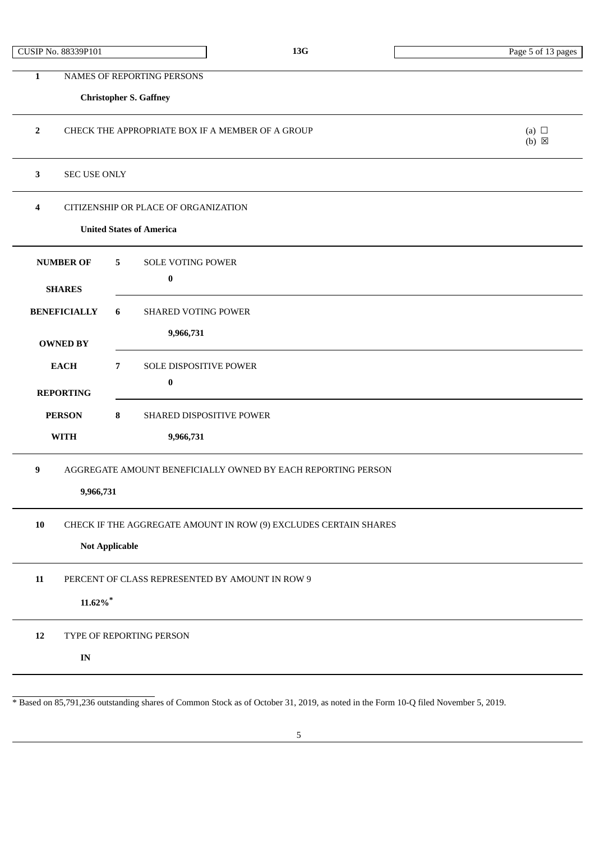|  |  | CUSIP No. 88339P101 |
|--|--|---------------------|
|--|--|---------------------|

## **Christopher S. Gaffney**

| $\overline{2}$                                                                                  | CHECK THE APPROPRIATE BOX IF A MEMBER OF A GROUP<br>(a) $\Box$<br>$(b) \boxtimes$ |  |  |
|-------------------------------------------------------------------------------------------------|-----------------------------------------------------------------------------------|--|--|
| $\mathbf{3}$<br><b>SEC USE ONLY</b>                                                             |                                                                                   |  |  |
| 4                                                                                               | CITIZENSHIP OR PLACE OF ORGANIZATION<br><b>United States of America</b>           |  |  |
| <b>NUMBER OF</b><br><b>SHARES</b>                                                               | SOLE VOTING POWER<br>5<br>$\bf{0}$                                                |  |  |
| <b>BENEFICIALLY</b><br><b>OWNED BY</b>                                                          | 6<br><b>SHARED VOTING POWER</b><br>9,966,731                                      |  |  |
| <b>EACH</b><br><b>REPORTING</b>                                                                 | $\overline{7}$<br>SOLE DISPOSITIVE POWER<br>$\pmb{0}$                             |  |  |
| 8<br><b>PERSON</b><br>SHARED DISPOSITIVE POWER<br>9,966,731<br><b>WITH</b>                      |                                                                                   |  |  |
| $\boldsymbol{9}$<br>AGGREGATE AMOUNT BENEFICIALLY OWNED BY EACH REPORTING PERSON<br>9,966,731   |                                                                                   |  |  |
| 10<br>CHECK IF THE AGGREGATE AMOUNT IN ROW (9) EXCLUDES CERTAIN SHARES<br><b>Not Applicable</b> |                                                                                   |  |  |
| 11<br>PERCENT OF CLASS REPRESENTED BY AMOUNT IN ROW 9<br>$11.62\%$ *                            |                                                                                   |  |  |
| 12<br>$\mathbf{IN}$                                                                             | TYPE OF REPORTING PERSON                                                          |  |  |
|                                                                                                 |                                                                                   |  |  |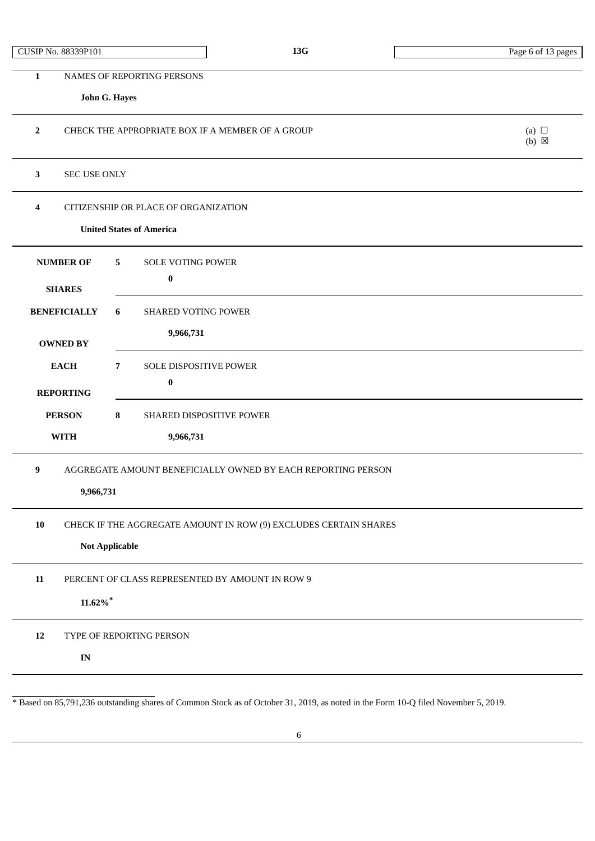|  |  | CUSIP No. 88339P101 |
|--|--|---------------------|
|--|--|---------------------|

| $\mathbf{1}$                                                  | NAMES OF REPORTING PERSONS                                       |                               |
|---------------------------------------------------------------|------------------------------------------------------------------|-------------------------------|
|                                                               | John G. Hayes                                                    |                               |
|                                                               |                                                                  |                               |
| $\mathbf{2}$                                                  | CHECK THE APPROPRIATE BOX IF A MEMBER OF A GROUP                 | (a) $\Box$<br>$(b) \boxtimes$ |
|                                                               |                                                                  |                               |
| $\mathbf{3}$<br><b>SEC USE ONLY</b>                           |                                                                  |                               |
| $\overline{4}$                                                | CITIZENSHIP OR PLACE OF ORGANIZATION                             |                               |
|                                                               | <b>United States of America</b>                                  |                               |
| <b>NUMBER OF</b>                                              | <b>SOLE VOTING POWER</b><br>5                                    |                               |
| <b>SHARES</b>                                                 | $\boldsymbol{0}$                                                 |                               |
| <b>BENEFICIALLY</b>                                           | 6<br><b>SHARED VOTING POWER</b>                                  |                               |
|                                                               | 9,966,731                                                        |                               |
| <b>OWNED BY</b>                                               |                                                                  |                               |
| <b>EACH</b>                                                   | $\overline{7}$<br>SOLE DISPOSITIVE POWER                         |                               |
| <b>REPORTING</b>                                              | 0                                                                |                               |
| <b>PERSON</b>                                                 | 8<br>SHARED DISPOSITIVE POWER                                    |                               |
| <b>WITH</b>                                                   | 9,966,731                                                        |                               |
| $\boldsymbol{9}$                                              | AGGREGATE AMOUNT BENEFICIALLY OWNED BY EACH REPORTING PERSON     |                               |
| 9,966,731                                                     |                                                                  |                               |
|                                                               |                                                                  |                               |
| 10                                                            | CHECK IF THE AGGREGATE AMOUNT IN ROW (9) EXCLUDES CERTAIN SHARES |                               |
|                                                               | <b>Not Applicable</b>                                            |                               |
| ${\bf 11}$<br>PERCENT OF CLASS REPRESENTED BY AMOUNT IN ROW 9 |                                                                  |                               |
| $11.62\%$ *                                                   |                                                                  |                               |
| 12                                                            | TYPE OF REPORTING PERSON                                         |                               |
| $\mathbf{IN}$                                                 |                                                                  |                               |
|                                                               |                                                                  |                               |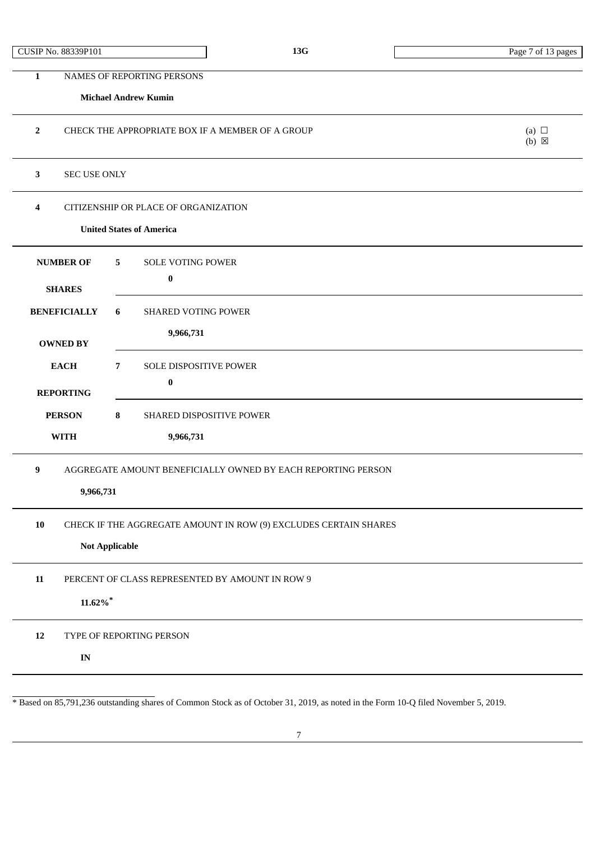|  |  | CUSIP No. 88339P101 |
|--|--|---------------------|
|--|--|---------------------|

|                                                                                                         | <b>Michael Andrew Kumin</b>                                                               |                               |
|---------------------------------------------------------------------------------------------------------|-------------------------------------------------------------------------------------------|-------------------------------|
| $\mathbf{2}$                                                                                            | CHECK THE APPROPRIATE BOX IF A MEMBER OF A GROUP                                          | (a) $\Box$<br>$(b) \boxtimes$ |
| 3<br><b>SEC USE ONLY</b>                                                                                |                                                                                           |                               |
| 4                                                                                                       | CITIZENSHIP OR PLACE OF ORGANIZATION<br><b>United States of America</b>                   |                               |
| <b>NUMBER OF</b><br><b>SHARES</b><br><b>BENEFICIALLY</b>                                                | <b>SOLE VOTING POWER</b><br>5 <sup>5</sup><br>$\bf{0}$<br>6<br><b>SHARED VOTING POWER</b> |                               |
| <b>OWNED BY</b>                                                                                         | 9,966,731                                                                                 |                               |
| <b>EACH</b><br><b>REPORTING</b>                                                                         | $7\overline{ }$<br>SOLE DISPOSITIVE POWER<br>$\pmb{0}$                                    |                               |
| <b>PERSON</b><br>8<br>SHARED DISPOSITIVE POWER<br><b>WITH</b><br>9,966,731                              |                                                                                           |                               |
| 9<br>AGGREGATE AMOUNT BENEFICIALLY OWNED BY EACH REPORTING PERSON<br>9,966,731                          |                                                                                           |                               |
| ${\bf 10}$<br>CHECK IF THE AGGREGATE AMOUNT IN ROW (9) EXCLUDES CERTAIN SHARES<br><b>Not Applicable</b> |                                                                                           |                               |
| 11<br>$11.62\%$ *                                                                                       | PERCENT OF CLASS REPRESENTED BY AMOUNT IN ROW 9                                           |                               |
| 12<br>$\mathbf{IN}$                                                                                     | TYPE OF REPORTING PERSON                                                                  |                               |
|                                                                                                         |                                                                                           |                               |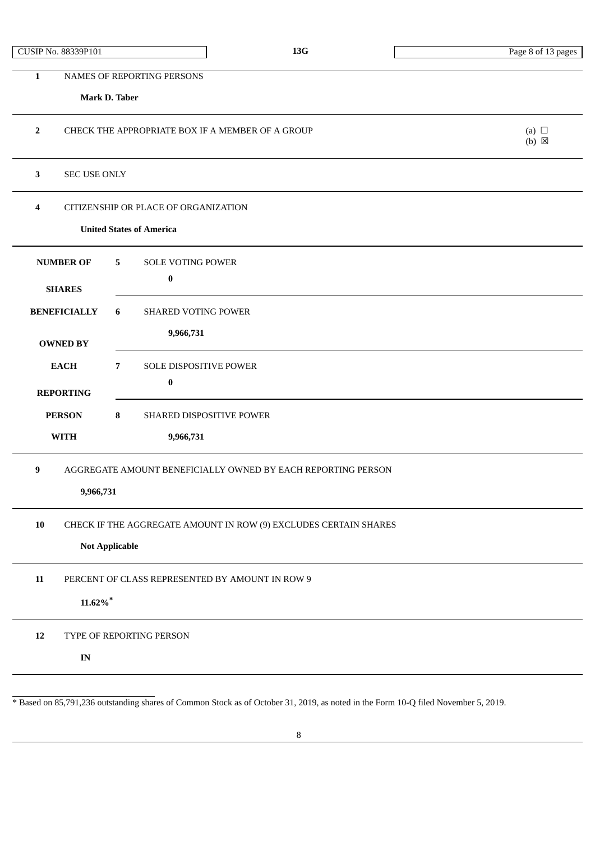|  |  | CUSIP No. 88339P101 |
|--|--|---------------------|
|--|--|---------------------|

| 1                        | NAMES OF REPORTING PERSONS                                       |                               |
|--------------------------|------------------------------------------------------------------|-------------------------------|
|                          | Mark D. Taber                                                    |                               |
| $\overline{2}$           | CHECK THE APPROPRIATE BOX IF A MEMBER OF A GROUP                 | (a) $\Box$<br>$(b) \boxtimes$ |
| 3<br><b>SEC USE ONLY</b> |                                                                  |                               |
| 4                        | CITIZENSHIP OR PLACE OF ORGANIZATION                             |                               |
|                          | <b>United States of America</b>                                  |                               |
| <b>NUMBER OF</b>         | SOLE VOTING POWER<br>5                                           |                               |
| <b>SHARES</b>            | $\bf{0}$                                                         |                               |
| <b>BENEFICIALLY</b>      | 6<br>SHARED VOTING POWER                                         |                               |
|                          | 9,966,731                                                        |                               |
| <b>OWNED BY</b>          |                                                                  |                               |
| <b>EACH</b>              | $\overline{7}$<br>SOLE DISPOSITIVE POWER                         |                               |
| <b>REPORTING</b>         | $\pmb{0}$                                                        |                               |
| <b>PERSON</b>            | 8<br>SHARED DISPOSITIVE POWER                                    |                               |
| <b>WITH</b>              | 9,966,731                                                        |                               |
| $\boldsymbol{9}$         | AGGREGATE AMOUNT BENEFICIALLY OWNED BY EACH REPORTING PERSON     |                               |
| 9,966,731                |                                                                  |                               |
| 10                       | CHECK IF THE AGGREGATE AMOUNT IN ROW (9) EXCLUDES CERTAIN SHARES |                               |
|                          | <b>Not Applicable</b>                                            |                               |
|                          |                                                                  |                               |
| 11                       | PERCENT OF CLASS REPRESENTED BY AMOUNT IN ROW 9                  |                               |
| $11.62\%$ *              |                                                                  |                               |
| 12                       | TYPE OF REPORTING PERSON                                         |                               |
| $\mathbf{IN}$            |                                                                  |                               |
|                          |                                                                  |                               |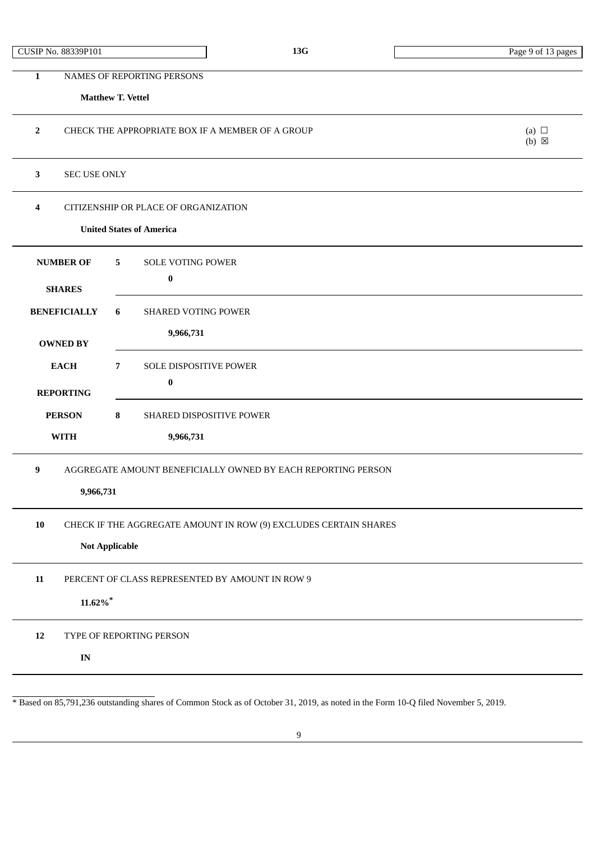|  |  | CUSIP No. 88339P101 |
|--|--|---------------------|
|--|--|---------------------|

**Matthew T. Vettel**

| $\overline{2}$                                                                 | CHECK THE APPROPRIATE BOX IF A MEMBER OF A GROUP                                          | (a) $\Box$<br>$(b)$ $\boxtimes$ |
|--------------------------------------------------------------------------------|-------------------------------------------------------------------------------------------|---------------------------------|
| 3<br>SEC USE ONLY                                                              |                                                                                           |                                 |
| 4                                                                              | CITIZENSHIP OR PLACE OF ORGANIZATION<br><b>United States of America</b>                   |                                 |
| <b>NUMBER OF</b><br><b>SHARES</b>                                              | <b>SOLE VOTING POWER</b><br>5<br>$\pmb{0}$                                                |                                 |
| <b>BENEFICIALLY</b><br><b>OWNED BY</b>                                         | 6<br><b>SHARED VOTING POWER</b><br>9,966,731                                              |                                 |
| <b>EACH</b><br><b>REPORTING</b>                                                | SOLE DISPOSITIVE POWER<br>$\overline{7}$<br>$\bf{0}$                                      |                                 |
| <b>PERSON</b><br><b>WITH</b>                                                   | 8<br>SHARED DISPOSITIVE POWER<br>9,966,731                                                |                                 |
| 9<br>AGGREGATE AMOUNT BENEFICIALLY OWNED BY EACH REPORTING PERSON<br>9,966,731 |                                                                                           |                                 |
| ${\bf 10}$                                                                     | CHECK IF THE AGGREGATE AMOUNT IN ROW (9) EXCLUDES CERTAIN SHARES<br><b>Not Applicable</b> |                                 |
| 11<br>$11.62\%$ <sup>*</sup>                                                   | PERCENT OF CLASS REPRESENTED BY AMOUNT IN ROW 9                                           |                                 |
| 12<br>$\mathbf{IN}$                                                            | TYPE OF REPORTING PERSON                                                                  |                                 |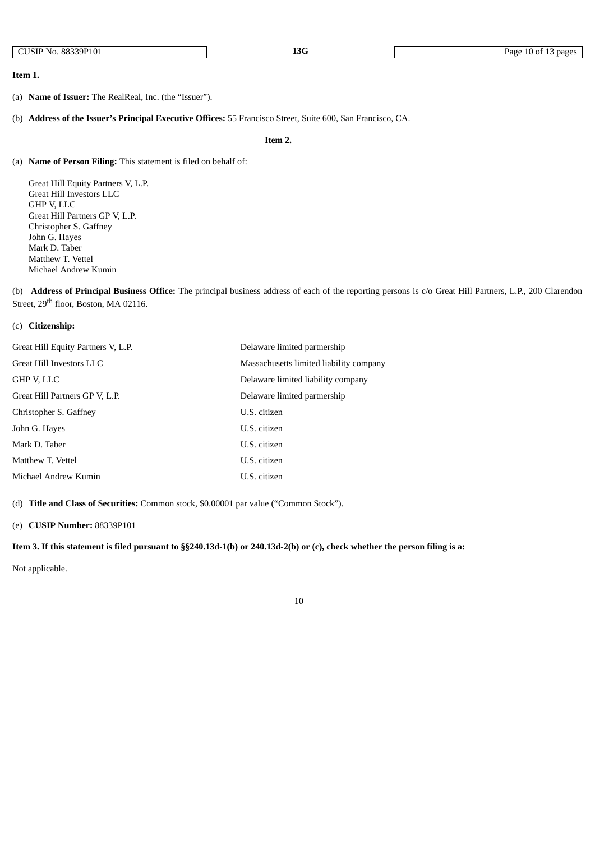### **Item 1.**

- (a) **Name of Issuer:** The RealReal, Inc. (the "Issuer").
- (b) **Address of the Issuer's Principal Executive Offices:** 55 Francisco Street, Suite 600, San Francisco, CA.

### **Item 2.**

(a) **Name of Person Filing:** This statement is filed on behalf of:

Great Hill Equity Partners V, L.P. Great Hill Investors LLC GHP V, LLC Great Hill Partners GP V, L.P. Christopher S. Gaffney John G. Hayes Mark D. Taber Matthew T. Vettel Michael Andrew Kumin

(b) **Address of Principal Business Office:** The principal business address of each of the reporting persons is c/o Great Hill Partners, L.P., 200 Clarendon Street, 29<sup>th</sup> floor, Boston, MA 02116.

## (c) **Citizenship:**

| Great Hill Equity Partners V, L.P. | Delaware limited partnership            |
|------------------------------------|-----------------------------------------|
| Great Hill Investors LLC           | Massachusetts limited liability company |
| GHP V. LLC                         | Delaware limited liability company      |
| Great Hill Partners GP V, L.P.     | Delaware limited partnership            |
| Christopher S. Gaffney             | U.S. citizen                            |
| John G. Haves                      | U.S. citizen                            |
| Mark D. Taber                      | U.S. citizen                            |
| Matthew T. Vettel                  | U.S. citizen                            |
| Michael Andrew Kumin               | U.S. citizen                            |

(d) **Title and Class of Securities:** Common stock, \$0.00001 par value ("Common Stock").

## (e) **CUSIP Number:** 88339P101

Item 3. If this statement is filed pursuant to §§240.13d-1(b) or 240.13d-2(b) or (c), check whether the person filing is a:

Not applicable.

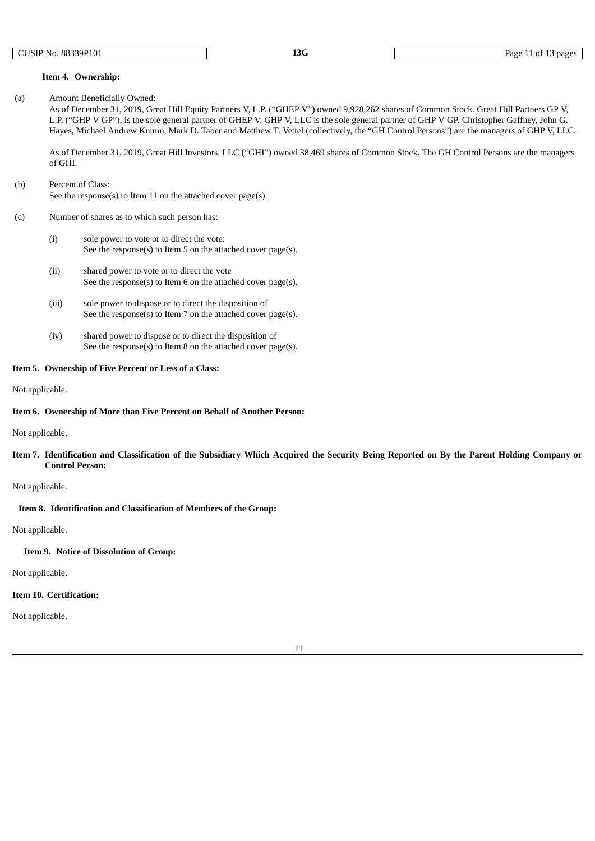#### **Item 4. Ownership:**

(a) Amount Beneficially Owned:

As of December 31, 2019, Great Hill Equity Partners V, L.P. ("GHEP V") owned 9,928,262 shares of Common Stock. Great Hill Partners GP V, L.P. ("GHP V GP"), is the sole general partner of GHEP V. GHP V, LLC is the sole general partner of GHP V GP. Christopher Gaffney, John G. Hayes, Michael Andrew Kumin, Mark D. Taber and Matthew T. Vettel (collectively, the "GH Control Persons") are the managers of GHP V, LLC.

As of December 31, 2019, Great Hill Investors, LLC ("GHI") owned 38,469 shares of Common Stock. The GH Control Persons are the managers of GHI.

## (b) Percent of Class:

See the response(s) to Item 11 on the attached cover page(s).

#### (c) Number of shares as to which such person has:

- (i) sole power to vote or to direct the vote: See the response(s) to Item 5 on the attached cover page(s).
- (ii) shared power to vote or to direct the vote See the response(s) to Item 6 on the attached cover page(s).
- (iii) sole power to dispose or to direct the disposition of See the response(s) to Item 7 on the attached cover page(s).
- (iv) shared power to dispose or to direct the disposition of See the response(s) to Item 8 on the attached cover page(s).

#### **Item 5. Ownership of Five Percent or Less of a Class:**

Not applicable.

#### **Item 6. Ownership of More than Five Percent on Behalf of Another Person:**

Not applicable.

Item 7. Identification and Classification of the Subsidiary Which Acquired the Security Being Reported on By the Parent Holding Company or **Control Person:**

Not applicable.

## **Item 8. Identification and Classification of Members of the Group:**

Not applicable.

### **Item 9. Notice of Dissolution of Group:**

Not applicable.

## **Item 10. Certification:**

Not applicable.

11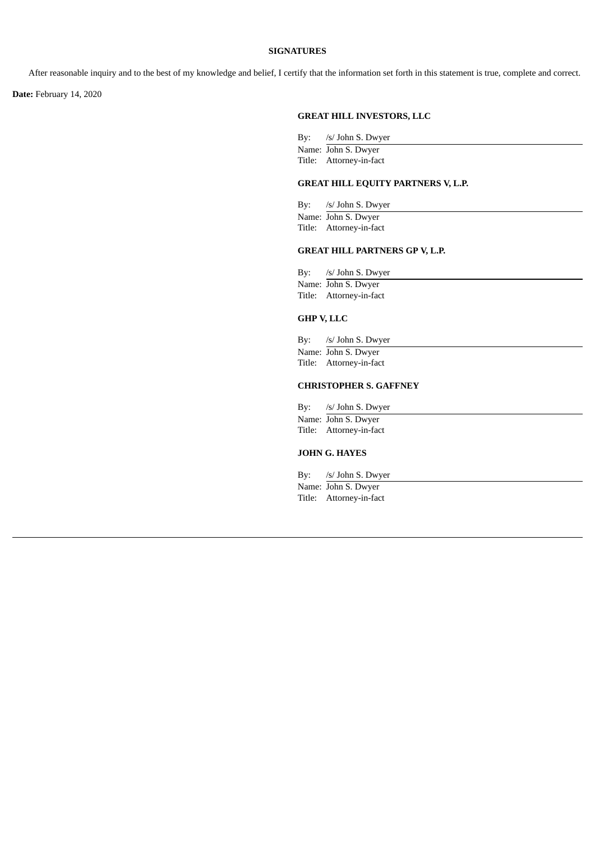### **SIGNATURES**

After reasonable inquiry and to the best of my knowledge and belief, I certify that the information set forth in this statement is true, complete and correct.

**Date:** February 14, 2020

## **GREAT HILL INVESTORS, LLC**

By: /s/ John S. Dwyer Name: John S. Dwyer Title: Attorney-in-fact

## **GREAT HILL EQUITY PARTNERS V, L.P.**

By: /s/ John S. Dwyer Name: John S. Dwyer Title: Attorney-in-fact

## **GREAT HILL PARTNERS GP V, L.P.**

| By: /s/ John S. Dwyer   |
|-------------------------|
| Name: John S. Dwyer     |
| Title: Attorney-in-fact |

## **GHP V, LLC**

By: /s/ John S. Dwyer Name: John S. Dwyer Title: Attorney-in-fact

### **CHRISTOPHER S. GAFFNEY**

| By: | /s/ John S. Dwyer       |
|-----|-------------------------|
|     | Name: John S. Dwyer     |
|     | Title: Attorney-in-fact |

## **JOHN G. HAYES**

By: /s/ John S. Dwyer Name: John S. Dwyer Title: Attorney-in-fact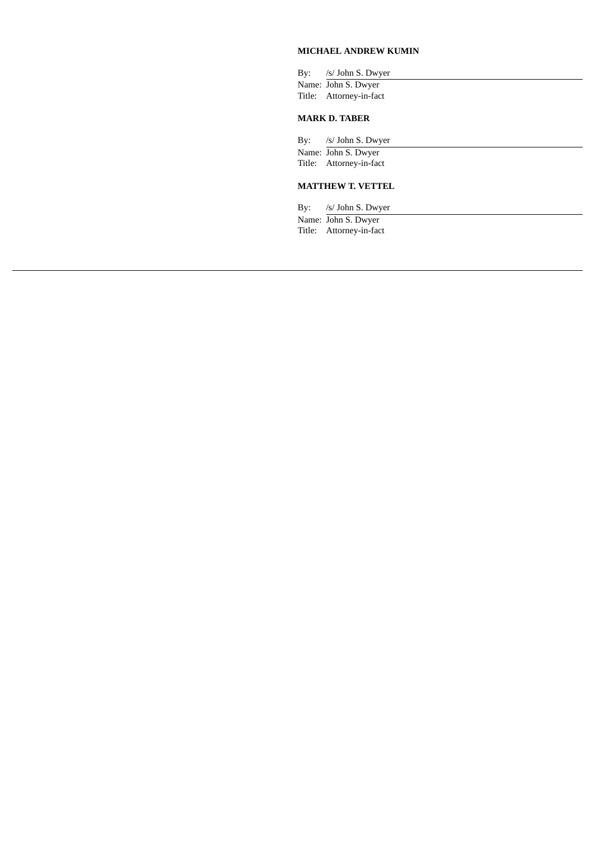## **MICHAEL ANDREW KUMIN**

| By: /s/ John S. Dwyer   |
|-------------------------|
| Name: John S. Dwyer     |
| Title: Attorney-in-fact |
| <b>MARK D. TABER</b>    |

By: /s/ John S. Dwyer Name: John S. Dwyer Title: Attorney-in-fact

## **MATTHEW T. VETTEL**

By: /s/ John S. Dwyer Name: John S. Dwyer Title: Attorney-in-fact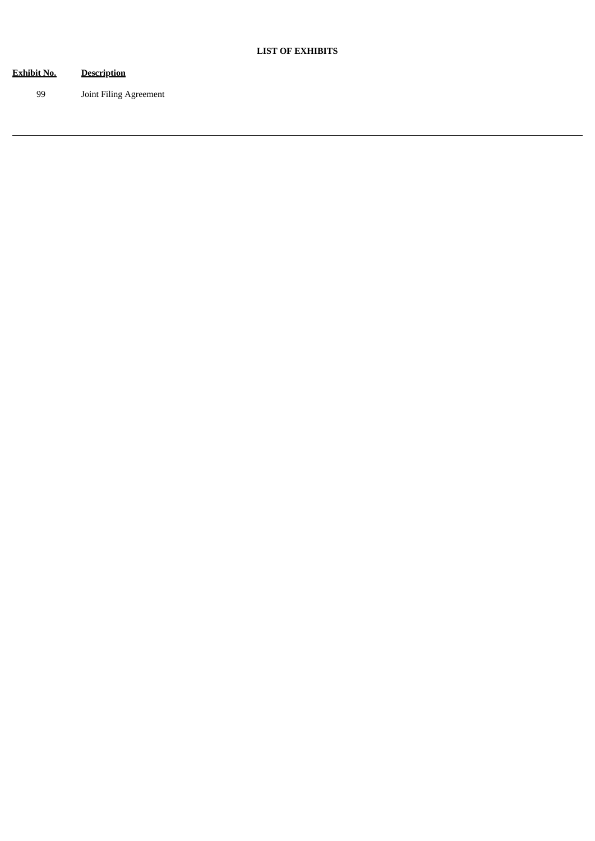| <u>Exhibit No.</u> | <b>Description</b>     |
|--------------------|------------------------|
| 99                 | Joint Filing Agreement |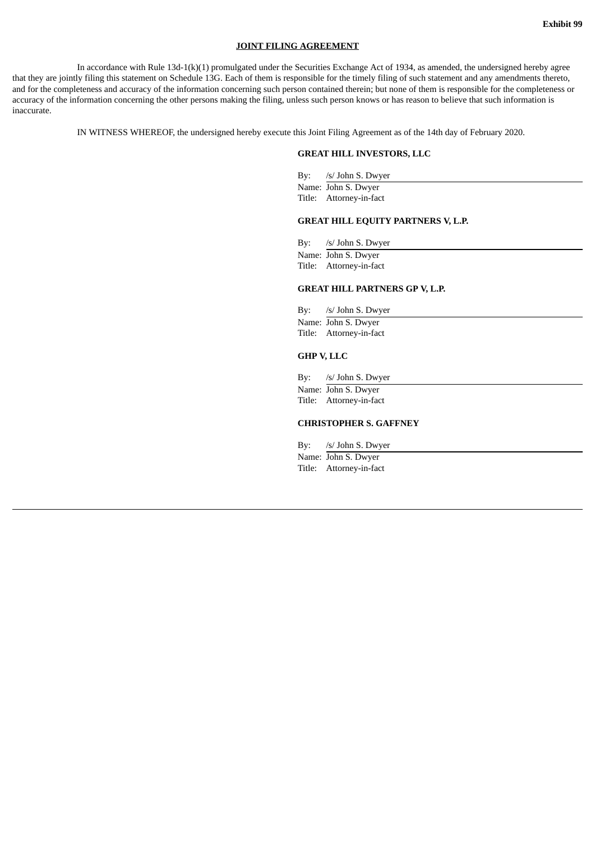#### **JOINT FILING AGREEMENT**

In accordance with Rule 13d-1(k)(1) promulgated under the Securities Exchange Act of 1934, as amended, the undersigned hereby agree that they are jointly filing this statement on Schedule 13G. Each of them is responsible for the timely filing of such statement and any amendments thereto, and for the completeness and accuracy of the information concerning such person contained therein; but none of them is responsible for the completeness or accuracy of the information concerning the other persons making the filing, unless such person knows or has reason to believe that such information is inaccurate.

IN WITNESS WHEREOF, the undersigned hereby execute this Joint Filing Agreement as of the 14th day of February 2020.

#### **GREAT HILL INVESTORS, LLC**

By: /s/ John S. Dwyer Name: John S. Dwyer Title: Attorney-in-fact

#### **GREAT HILL EQUITY PARTNERS V, L.P.**

By: /s/ John S. Dwyer Name: John S. Dwyer Title: Attorney-in-fact

By: /s/ John S. Dwyer Name: John S. Dwyer Title: Attorney-in-fact

**GREAT HILL PARTNERS GP V, L.P.**

#### **GHP V, LLC**

By: /s/ John S. Dwyer

Name: John S. Dwyer Title: Attorney-in-fact

#### **CHRISTOPHER S. GAFFNEY**

By: /s/ John S. Dwyer

Name: John S. Dwyer Title: Attorney-in-fact